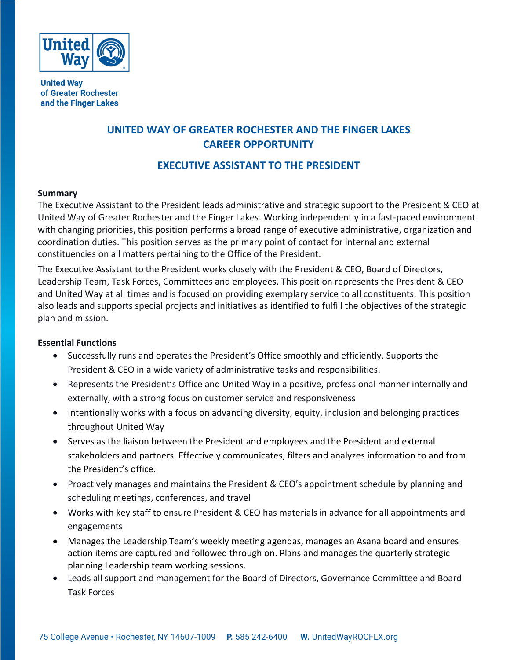

**United Way** of Greater Rochester and the Finger Lakes

# **UNITED WAY OF GREATER ROCHESTER AND THE FINGER LAKES CAREER OPPORTUNITY**

## **EXECUTIVE ASSISTANT TO THE PRESIDENT**

## **Summary**

The Executive Assistant to the President leads administrative and strategic support to the President & CEO at United Way of Greater Rochester and the Finger Lakes. Working independently in a fast-paced environment with changing priorities, this position performs a broad range of executive administrative, organization and coordination duties. This position serves as the primary point of contact for internal and external constituencies on all matters pertaining to the Office of the President.

The Executive Assistant to the President works closely with the President & CEO, Board of Directors, Leadership Team, Task Forces, Committees and employees. This position represents the President & CEO and United Way at all times and is focused on providing exemplary service to all constituents. This position also leads and supports special projects and initiatives as identified to fulfill the objectives of the strategic plan and mission.

## **Essential Functions**

- Successfully runs and operates the President's Office smoothly and efficiently. Supports the President & CEO in a wide variety of administrative tasks and responsibilities.
- Represents the President's Office and United Way in a positive, professional manner internally and externally, with a strong focus on customer service and responsiveness
- Intentionally works with a focus on advancing diversity, equity, inclusion and belonging practices throughout United Way
- Serves as the liaison between the President and employees and the President and external stakeholders and partners. Effectively communicates, filters and analyzes information to and from the President's office.
- Proactively manages and maintains the President & CEO's appointment schedule by planning and scheduling meetings, conferences, and travel
- Works with key staff to ensure President & CEO has materials in advance for all appointments and engagements
- Manages the Leadership Team's weekly meeting agendas, manages an Asana board and ensures action items are captured and followed through on. Plans and manages the quarterly strategic planning Leadership team working sessions.
- Leads all support and management for the Board of Directors, Governance Committee and Board Task Forces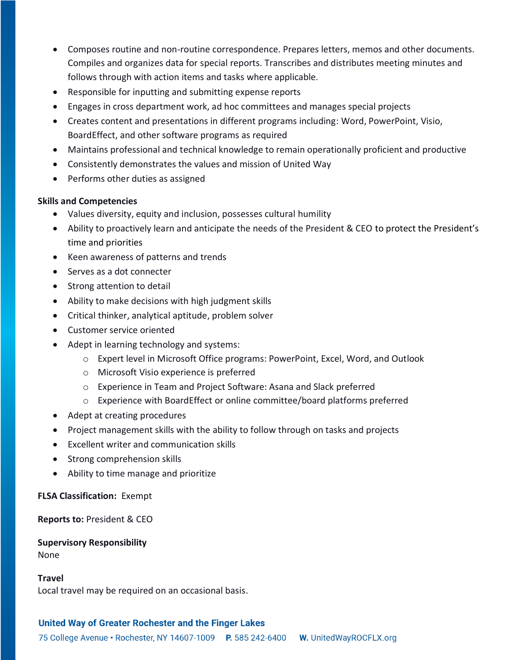- Composes routine and non-routine correspondence. Prepares letters, memos and other documents. Compiles and organizes data for special reports. Transcribes and distributes meeting minutes and follows through with action items and tasks where applicable.
- Responsible for inputting and submitting expense reports
- Engages in cross department work, ad hoc committees and manages special projects
- Creates content and presentations in different programs including: Word, PowerPoint, Visio, BoardEffect, and other software programs as required
- Maintains professional and technical knowledge to remain operationally proficient and productive
- Consistently demonstrates the values and mission of United Way
- Performs other duties as assigned

## **Skills and Competencies**

- Values diversity, equity and inclusion, possesses cultural humility
- Ability to proactively learn and anticipate the needs of the President & CEO to protect the President's time and priorities
- Keen awareness of patterns and trends
- Serves as a dot connecter
- Strong attention to detail
- Ability to make decisions with high judgment skills
- Critical thinker, analytical aptitude, problem solver
- Customer service oriented
- Adept in learning technology and systems:
	- o Expert level in Microsoft Office programs: PowerPoint, Excel, Word, and Outlook
	- o Microsoft Visio experience is preferred
	- o Experience in Team and Project Software: Asana and Slack preferred
	- o Experience with BoardEffect or online committee/board platforms preferred
- Adept at creating procedures
- Project management skills with the ability to follow through on tasks and projects
- Excellent writer and communication skills
- Strong comprehension skills
- Ability to time manage and prioritize

**FLSA Classification:** Exempt

**Reports to:** President & CEO

**Supervisory Responsibility** None

#### **Travel**

Local travel may be required on an occasional basis.

## United Way of Greater Rochester and the Finger Lakes

75 College Avenue • Rochester, NY 14607-1009 P. 585 242-6400 **W.** UnitedWayROCFLX.org